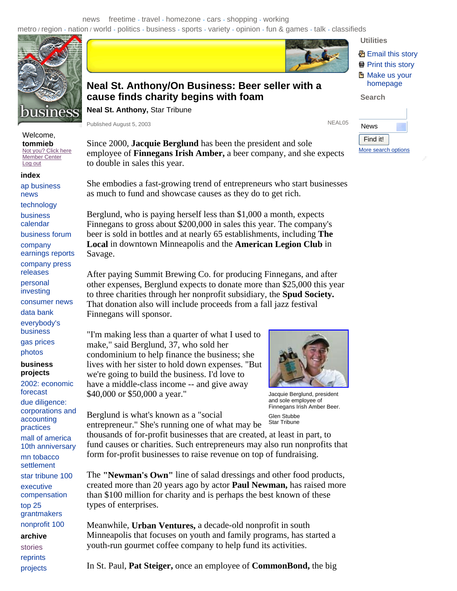news freetime - travel - homezone - cars - shopping - working metro / region - nation / world - politics - business - sports - variety - opinion - fun & games - talk - classifieds



Welcome, **tommieb**  Not you? Click here Member Center

Log out **index** 

ap business news

technology

business calendar

business forum

company

earnings reports company press

releases

personal

investing

consumer news

data bank

everybody's business

gas prices

photos

## **business projects**

2002: economic forecast due diligence: corporations and accounting practices mall of america 10th anniversary mn tobacco settlement star tribune 100 executive compensation top 25 grantmakers nonprofit 100

**archive**  stories

reprints projects



## **Neal St. Anthony/On Business: Beer seller with a cause finds charity begins with foam**

**Neal St. Anthony,** Star Tribune

Published August 5, 2003 NEAL05

Since 2000, **Jacquie Berglund** has been the president and sole employee of **Finnegans Irish Amber,** a beer company, and she expects to double in sales this year.

She embodies a fast-growing trend of entrepreneurs who start businesses as much to fund and showcase causes as they do to get rich.

Berglund, who is paying herself less than \$1,000 a month, expects Finnegans to gross about \$200,000 in sales this year. The company's beer is sold in bottles and at nearly 65 establishments, including **The Local** in downtown Minneapolis and the **American Legion Club** in Savage.

After paying Summit Brewing Co. for producing Finnegans, and after other expenses, Berglund expects to donate more than \$25,000 this year to three charities through her nonprofit subsidiary, the **Spud Society.**  That donation also will include proceeds from a fall jazz festival Finnegans will sponsor.

"I'm making less than a quarter of what I used to make," said Berglund, 37, who sold her condominium to help finance the business; she lives with her sister to hold down expenses. "But we're going to build the business. I'd love to have a middle-class income -- and give away \$40,000 or \$50,000 a year."

Berglund is what's known as a "social entrepreneur." She's running one of what may be



Jacquie Berglund, president and sole employee of Finnegans Irish Amber Beer. Glen Stubbe Star Tribune

thousands of for-profit businesses that are created, at least in part, to fund causes or charities. Such entrepreneurs may also run nonprofits that form for-profit businesses to raise revenue on top of fundraising.

The **"Newman's Own"** line of salad dressings and other food products, created more than 20 years ago by actor **Paul Newman,** has raised more than \$100 million for charity and is perhaps the best known of these types of enterprises.

Meanwhile, **Urban Ventures,** a decade-old nonprofit in south Minneapolis that focuses on youth and family programs, has started a youth-run gourmet coffee company to help fund its activities.

In St. Paul, **Pat Steiger,** once an employee of **CommonBond,** the big

**图 Email this story** Print this story **H** Make us your homepage

**Search** 

**Utilities** 

| News                |  |
|---------------------|--|
| Find it!            |  |
| More search options |  |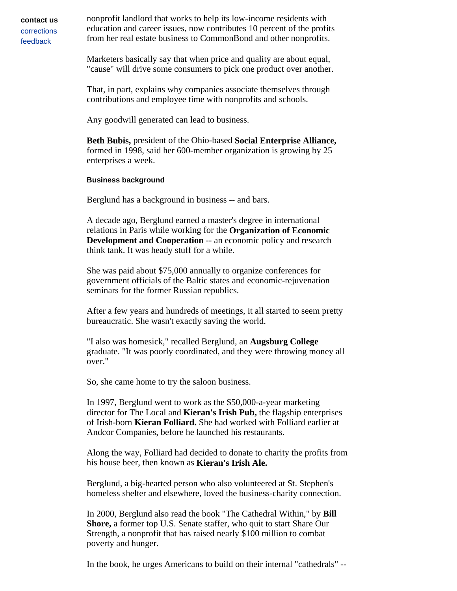**contact us**  corrections feedback

nonprofit landlord that works to help its low-income residents with education and career issues, now contributes 10 percent of the profits from her real estate business to CommonBond and other nonprofits.

Marketers basically say that when price and quality are about equal, "cause" will drive some consumers to pick one product over another.

That, in part, explains why companies associate themselves through contributions and employee time with nonprofits and schools.

Any goodwill generated can lead to business.

**Beth Bubis,** president of the Ohio-based **Social Enterprise Alliance,**  formed in 1998, said her 600-member organization is growing by 25 enterprises a week.

## **Business background**

Berglund has a background in business -- and bars.

A decade ago, Berglund earned a master's degree in international relations in Paris while working for the **Organization of Economic Development and Cooperation** -- an economic policy and research think tank. It was heady stuff for a while.

She was paid about \$75,000 annually to organize conferences for government officials of the Baltic states and economic-rejuvenation seminars for the former Russian republics.

After a few years and hundreds of meetings, it all started to seem pretty bureaucratic. She wasn't exactly saving the world.

"I also was homesick," recalled Berglund, an **Augsburg College**  graduate. "It was poorly coordinated, and they were throwing money all over."

So, she came home to try the saloon business.

In 1997, Berglund went to work as the \$50,000-a-year marketing director for The Local and **Kieran's Irish Pub,** the flagship enterprises of Irish-born **Kieran Folliard.** She had worked with Folliard earlier at Andcor Companies, before he launched his restaurants.

Along the way, Folliard had decided to donate to charity the profits from his house beer, then known as **Kieran's Irish Ale.**

Berglund, a big-hearted person who also volunteered at St. Stephen's homeless shelter and elsewhere, loved the business-charity connection.

In 2000, Berglund also read the book "The Cathedral Within," by **Bill Shore,** a former top U.S. Senate staffer, who quit to start Share Our Strength, a nonprofit that has raised nearly \$100 million to combat poverty and hunger.

In the book, he urges Americans to build on their internal "cathedrals" --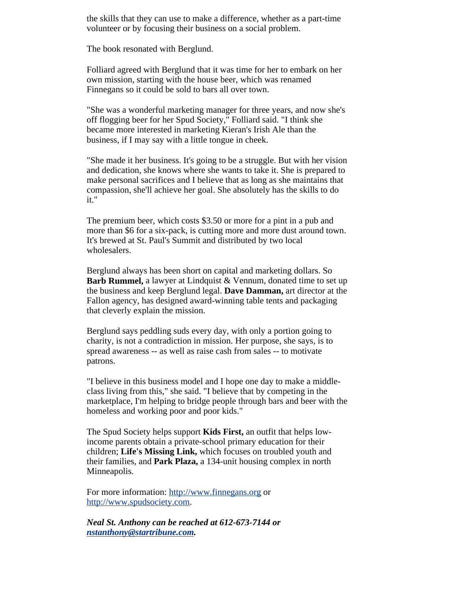the skills that they can use to make a difference, whether as a part-time volunteer or by focusing their business on a social problem.

The book resonated with Berglund.

Folliard agreed with Berglund that it was time for her to embark on her own mission, starting with the house beer, which was renamed Finnegans so it could be sold to bars all over town.

"She was a wonderful marketing manager for three years, and now she's off flogging beer for her Spud Society," Folliard said. "I think she became more interested in marketing Kieran's Irish Ale than the business, if I may say with a little tongue in cheek.

"She made it her business. It's going to be a struggle. But with her vision and dedication, she knows where she wants to take it. She is prepared to make personal sacrifices and I believe that as long as she maintains that compassion, she'll achieve her goal. She absolutely has the skills to do it."

The premium beer, which costs \$3.50 or more for a pint in a pub and more than \$6 for a six-pack, is cutting more and more dust around town. It's brewed at St. Paul's Summit and distributed by two local wholesalers.

Berglund always has been short on capital and marketing dollars. So **Barb Rummel,** a lawyer at Lindquist & Vennum, donated time to set up the business and keep Berglund legal. **Dave Damman,** art director at the Fallon agency, has designed award-winning table tents and packaging that cleverly explain the mission.

Berglund says peddling suds every day, with only a portion going to charity, is not a contradiction in mission. Her purpose, she says, is to spread awareness -- as well as raise cash from sales -- to motivate patrons.

"I believe in this business model and I hope one day to make a middleclass living from this," she said. "I believe that by competing in the marketplace, I'm helping to bridge people through bars and beer with the homeless and working poor and poor kids."

The Spud Society helps support **Kids First,** an outfit that helps lowincome parents obtain a private-school primary education for their children; **Life's Missing Link,** which focuses on troubled youth and their families, and **Park Plaza,** a 134-unit housing complex in north Minneapolis.

For more information: http://www.finnegans.org or http://www.spudsociety.com.

*Neal St. Anthony can be reached at 612-673-7144 or nstanthony@startribune.com.*